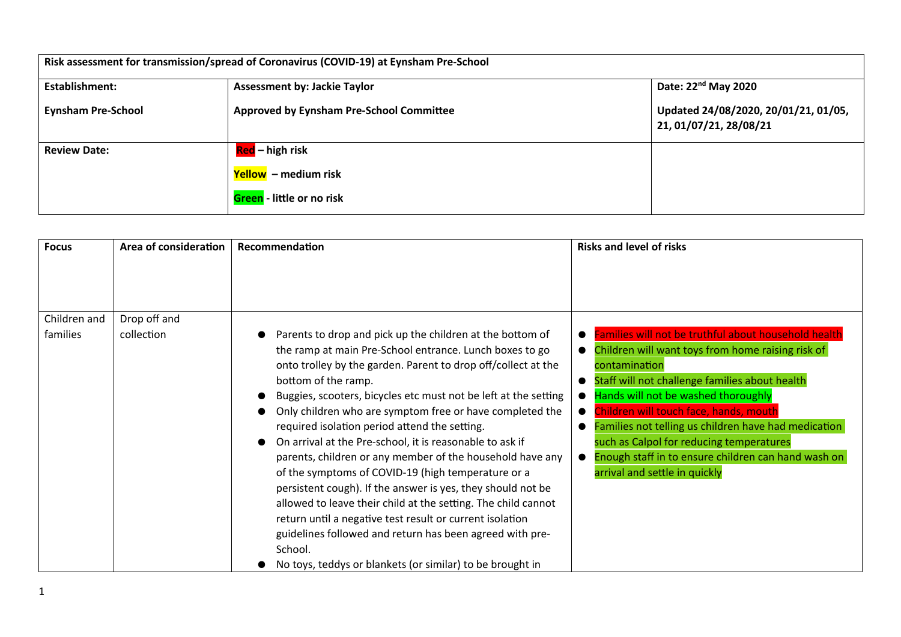| Risk assessment for transmission/spread of Coronavirus (COVID-19) at Eynsham Pre-School |                                          |                                                                |  |  |
|-----------------------------------------------------------------------------------------|------------------------------------------|----------------------------------------------------------------|--|--|
| <b>Establishment:</b>                                                                   | <b>Assessment by: Jackie Taylor</b>      | Date: 22 <sup>nd</sup> May 2020                                |  |  |
| <b>Eynsham Pre-School</b>                                                               | Approved by Eynsham Pre-School Committee | Updated 24/08/2020, 20/01/21, 01/05,<br>21, 01/07/21, 28/08/21 |  |  |
| <b>Review Date:</b>                                                                     | Red – high risk                          |                                                                |  |  |
|                                                                                         | Yellow – medium risk                     |                                                                |  |  |
|                                                                                         | <b>Green</b> - little or no risk         |                                                                |  |  |

| <b>Focus</b> | Area of consideration | Recommendation                                                                                                                                                                                                                                                                                                                                                                                                                                                                                                                                                                                                                                                                                                                                                                                                                                                                                              | <b>Risks and level of risks</b>                                                                                                                                                                                                                                                                                                                                                                                                                                                                  |
|--------------|-----------------------|-------------------------------------------------------------------------------------------------------------------------------------------------------------------------------------------------------------------------------------------------------------------------------------------------------------------------------------------------------------------------------------------------------------------------------------------------------------------------------------------------------------------------------------------------------------------------------------------------------------------------------------------------------------------------------------------------------------------------------------------------------------------------------------------------------------------------------------------------------------------------------------------------------------|--------------------------------------------------------------------------------------------------------------------------------------------------------------------------------------------------------------------------------------------------------------------------------------------------------------------------------------------------------------------------------------------------------------------------------------------------------------------------------------------------|
|              |                       |                                                                                                                                                                                                                                                                                                                                                                                                                                                                                                                                                                                                                                                                                                                                                                                                                                                                                                             |                                                                                                                                                                                                                                                                                                                                                                                                                                                                                                  |
| Children and | Drop off and          |                                                                                                                                                                                                                                                                                                                                                                                                                                                                                                                                                                                                                                                                                                                                                                                                                                                                                                             |                                                                                                                                                                                                                                                                                                                                                                                                                                                                                                  |
| families     | collection            | Parents to drop and pick up the children at the bottom of<br>the ramp at main Pre-School entrance. Lunch boxes to go<br>onto trolley by the garden. Parent to drop off/collect at the<br>bottom of the ramp.<br>Buggies, scooters, bicycles etc must not be left at the setting<br>Only children who are symptom free or have completed the<br>required isolation period attend the setting.<br>On arrival at the Pre-school, it is reasonable to ask if<br>parents, children or any member of the household have any<br>of the symptoms of COVID-19 (high temperature or a<br>persistent cough). If the answer is yes, they should not be<br>allowed to leave their child at the setting. The child cannot<br>return until a negative test result or current isolation<br>guidelines followed and return has been agreed with pre-<br>School.<br>No toys, teddys or blankets (or similar) to be brought in | Families will not be truthful about household health<br>Children will want toys from home raising risk of<br>$\bullet$<br>contamination<br>Staff will not challenge families about health<br>$\bullet$<br>Hands will not be washed thoroughly<br>Children will touch face, hands, mouth<br>Families not telling us children have had medication<br>$\bullet$<br>such as Calpol for reducing temperatures<br>Enough staff in to ensure children can hand wash on<br>arrival and settle in quickly |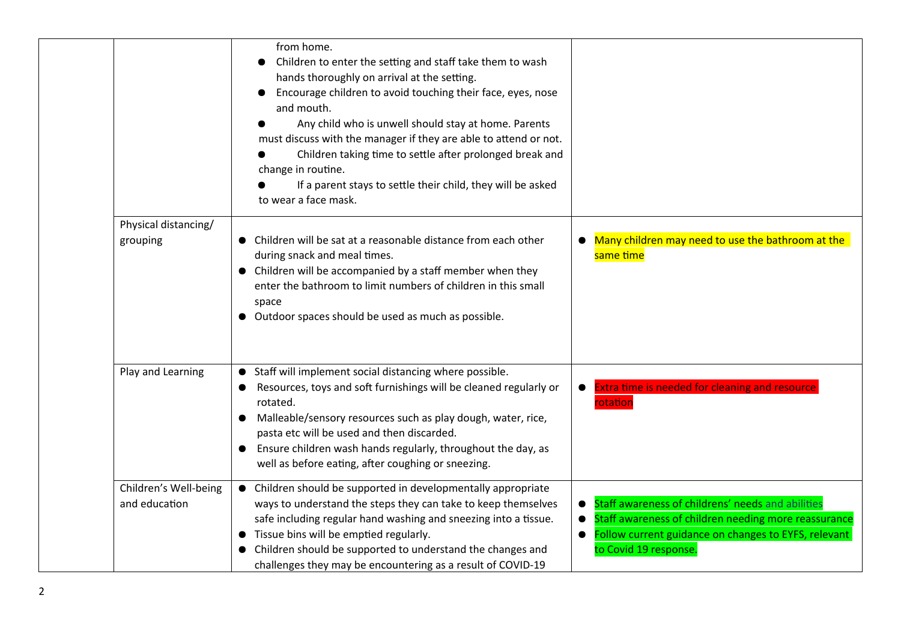| from home.<br>Children to enter the setting and staff take them to wash<br>hands thoroughly on arrival at the setting.<br>Encourage children to avoid touching their face, eyes, nose<br>and mouth.<br>Any child who is unwell should stay at home. Parents<br>must discuss with the manager if they are able to attend or not.<br>Children taking time to settle after prolonged break and<br>change in routine.<br>If a parent stays to settle their child, they will be asked<br>to wear a face mask.<br>Physical distancing/<br>• Many children may need to use the bathroom at the<br>• Children will be sat at a reasonable distance from each other<br>grouping<br>during snack and meal times.<br>same time<br>• Children will be accompanied by a staff member when they<br>enter the bathroom to limit numbers of children in this small | space<br>• Outdoor spaces should be used as much as possible.<br>• Staff will implement social distancing where possible.<br>Play and Learning<br>Resources, toys and soft furnishings will be cleaned regularly or<br><b>Extra time is needed for cleaning and resource</b><br>$\bullet$<br>rotated.<br>rotation<br>Malleable/sensory resources such as play dough, water, rice,<br>$\bullet$<br>pasta etc will be used and then discarded.<br>Ensure children wash hands regularly, throughout the day, as |  |  |
|----------------------------------------------------------------------------------------------------------------------------------------------------------------------------------------------------------------------------------------------------------------------------------------------------------------------------------------------------------------------------------------------------------------------------------------------------------------------------------------------------------------------------------------------------------------------------------------------------------------------------------------------------------------------------------------------------------------------------------------------------------------------------------------------------------------------------------------------------|--------------------------------------------------------------------------------------------------------------------------------------------------------------------------------------------------------------------------------------------------------------------------------------------------------------------------------------------------------------------------------------------------------------------------------------------------------------------------------------------------------------|--|--|
|                                                                                                                                                                                                                                                                                                                                                                                                                                                                                                                                                                                                                                                                                                                                                                                                                                                    |                                                                                                                                                                                                                                                                                                                                                                                                                                                                                                              |  |  |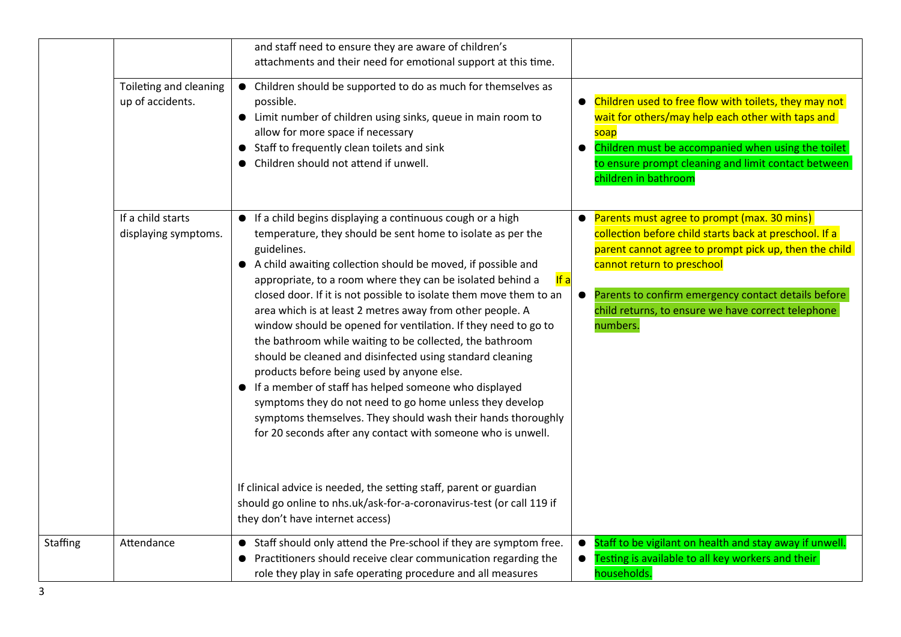|                 |                                            | and staff need to ensure they are aware of children's<br>attachments and their need for emotional support at this time.                                                                                                                                                                                                                                                                                                                                                                                                                                                                                                                                                                                                                                                                                                                                                                                                |                                                                                                                                                                                                                                                                                                                                    |
|-----------------|--------------------------------------------|------------------------------------------------------------------------------------------------------------------------------------------------------------------------------------------------------------------------------------------------------------------------------------------------------------------------------------------------------------------------------------------------------------------------------------------------------------------------------------------------------------------------------------------------------------------------------------------------------------------------------------------------------------------------------------------------------------------------------------------------------------------------------------------------------------------------------------------------------------------------------------------------------------------------|------------------------------------------------------------------------------------------------------------------------------------------------------------------------------------------------------------------------------------------------------------------------------------------------------------------------------------|
|                 | Toileting and cleaning<br>up of accidents. | • Children should be supported to do as much for themselves as<br>possible.<br>• Limit number of children using sinks, queue in main room to<br>allow for more space if necessary<br>• Staff to frequently clean toilets and sink<br>• Children should not attend if unwell.                                                                                                                                                                                                                                                                                                                                                                                                                                                                                                                                                                                                                                           | Children used to free flow with toilets, they may not<br>wait for others/may help each other with taps and<br>soap<br>Children must be accompanied when using the toilet<br>to ensure prompt cleaning and limit contact between<br>children in bathroom                                                                            |
|                 | If a child starts<br>displaying symptoms.  | • If a child begins displaying a continuous cough or a high<br>temperature, they should be sent home to isolate as per the<br>guidelines.<br>• A child awaiting collection should be moved, if possible and<br>If $a$<br>appropriate, to a room where they can be isolated behind a<br>closed door. If it is not possible to isolate them move them to an<br>area which is at least 2 metres away from other people. A<br>window should be opened for ventilation. If they need to go to<br>the bathroom while waiting to be collected, the bathroom<br>should be cleaned and disinfected using standard cleaning<br>products before being used by anyone else.<br>• If a member of staff has helped someone who displayed<br>symptoms they do not need to go home unless they develop<br>symptoms themselves. They should wash their hands thoroughly<br>for 20 seconds after any contact with someone who is unwell. | Parents must agree to prompt (max. 30 mins)<br>collection before child starts back at preschool. If a<br>parent cannot agree to prompt pick up, then the child<br>cannot return to preschool<br>Parents to confirm emergency contact details before<br>$\bullet$<br>child returns, to ensure we have correct telephone<br>numbers. |
|                 |                                            | If clinical advice is needed, the setting staff, parent or guardian<br>should go online to nhs.uk/ask-for-a-coronavirus-test (or call 119 if<br>they don't have internet access)                                                                                                                                                                                                                                                                                                                                                                                                                                                                                                                                                                                                                                                                                                                                       |                                                                                                                                                                                                                                                                                                                                    |
| <b>Staffing</b> | Attendance                                 | • Staff should only attend the Pre-school if they are symptom free.<br>• Practitioners should receive clear communication regarding the<br>role they play in safe operating procedure and all measures                                                                                                                                                                                                                                                                                                                                                                                                                                                                                                                                                                                                                                                                                                                 | Staff to be vigilant on health and stay away if unwell.<br>$\bullet$<br>Testing is available to all key workers and their<br>households.                                                                                                                                                                                           |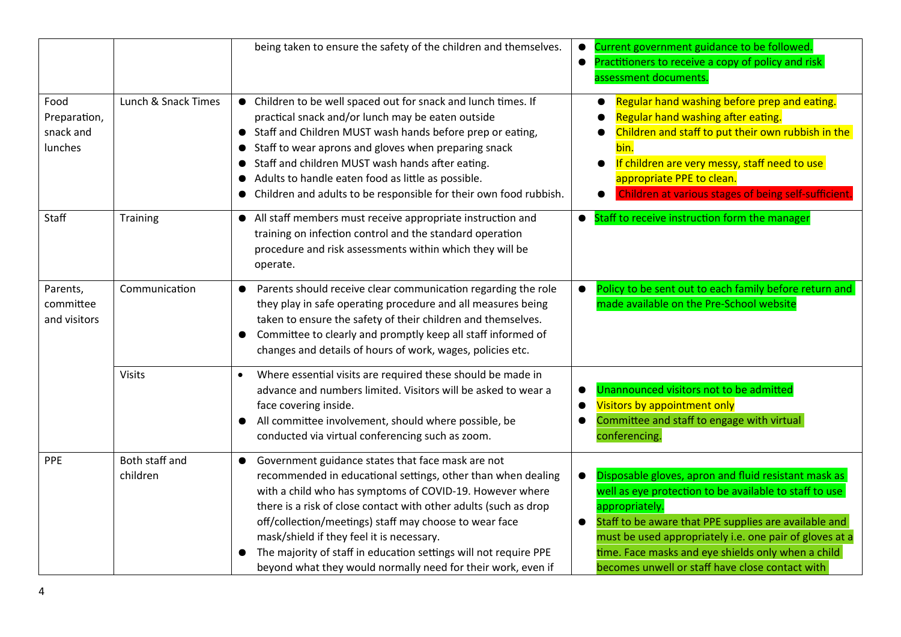|                                              |                            | being taken to ensure the safety of the children and themselves.                                                                                                                                                                                                                                                                                                                                                                                                                             | Current government guidance to be followed.<br>$\bullet$<br>Practitioners to receive a copy of policy and risk<br>$\bullet$<br>assessment documents.                                                                                                                                                                                                                                    |
|----------------------------------------------|----------------------------|----------------------------------------------------------------------------------------------------------------------------------------------------------------------------------------------------------------------------------------------------------------------------------------------------------------------------------------------------------------------------------------------------------------------------------------------------------------------------------------------|-----------------------------------------------------------------------------------------------------------------------------------------------------------------------------------------------------------------------------------------------------------------------------------------------------------------------------------------------------------------------------------------|
| Food<br>Preparation,<br>snack and<br>lunches | Lunch & Snack Times        | • Children to be well spaced out for snack and lunch times. If<br>practical snack and/or lunch may be eaten outside<br>• Staff and Children MUST wash hands before prep or eating,<br>• Staff to wear aprons and gloves when preparing snack<br>Staff and children MUST wash hands after eating.<br>Adults to handle eaten food as little as possible.<br>• Children and adults to be responsible for their own food rubbish.                                                                | Regular hand washing before prep and eating.<br>Regular hand washing after eating.<br>Children and staff to put their own rubbish in the<br>bin.<br>If children are very messy, staff need to use<br>$\bullet$<br>appropriate PPE to clean.<br>Children at various stages of being self-sufficient.                                                                                     |
| Staff                                        | Training                   | • All staff members must receive appropriate instruction and<br>training on infection control and the standard operation<br>procedure and risk assessments within which they will be<br>operate.                                                                                                                                                                                                                                                                                             | Staff to receive instruction form the manager<br>$\bullet$                                                                                                                                                                                                                                                                                                                              |
| Parents,<br>committee<br>and visitors        | Communication              | Parents should receive clear communication regarding the role<br>they play in safe operating procedure and all measures being<br>taken to ensure the safety of their children and themselves.<br>Committee to clearly and promptly keep all staff informed of<br>changes and details of hours of work, wages, policies etc.                                                                                                                                                                  | Policy to be sent out to each family before return and<br>$\bullet$<br>made available on the Pre-School website                                                                                                                                                                                                                                                                         |
|                                              | <b>Visits</b>              | Where essential visits are required these should be made in<br>advance and numbers limited. Visitors will be asked to wear a<br>face covering inside.<br>All committee involvement, should where possible, be<br>conducted via virtual conferencing such as zoom.                                                                                                                                                                                                                            | Unannounced visitors not to be admitted<br>Visitors by appointment only<br>Committee and staff to engage with virtual<br>conferencing.                                                                                                                                                                                                                                                  |
| <b>PPE</b>                                   | Both staff and<br>children | Government guidance states that face mask are not<br>recommended in educational settings, other than when dealing<br>with a child who has symptoms of COVID-19. However where<br>there is a risk of close contact with other adults (such as drop<br>off/collection/meetings) staff may choose to wear face<br>mask/shield if they feel it is necessary.<br>The majority of staff in education settings will not require PPE<br>beyond what they would normally need for their work, even if | Disposable gloves, apron and fluid resistant mask as<br>$\bullet$<br>well as eye protection to be available to staff to use<br>appropriately.<br>Staff to be aware that PPE supplies are available and<br>$\bullet$<br>must be used appropriately i.e. one pair of gloves at a<br>time. Face masks and eye shields only when a child<br>becomes unwell or staff have close contact with |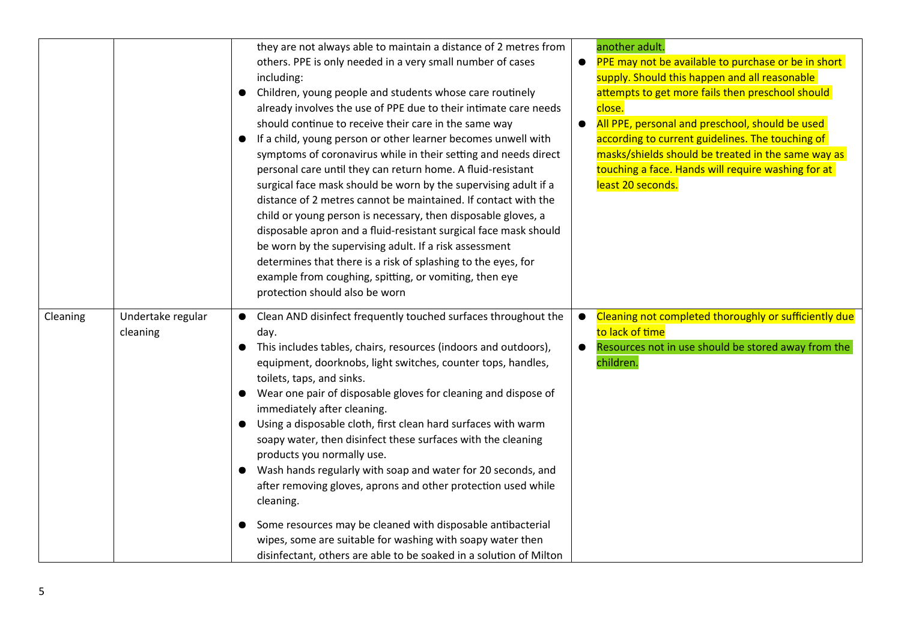|          |                               | they are not always able to maintain a distance of 2 metres from<br>others. PPE is only needed in a very small number of cases<br>including:<br>Children, young people and students whose care routinely<br>$\bullet$<br>already involves the use of PPE due to their intimate care needs<br>should continue to receive their care in the same way<br>If a child, young person or other learner becomes unwell with<br>symptoms of coronavirus while in their setting and needs direct<br>personal care until they can return home. A fluid-resistant<br>surgical face mask should be worn by the supervising adult if a<br>distance of 2 metres cannot be maintained. If contact with the<br>child or young person is necessary, then disposable gloves, a<br>disposable apron and a fluid-resistant surgical face mask should<br>be worn by the supervising adult. If a risk assessment<br>determines that there is a risk of splashing to the eyes, for<br>example from coughing, spitting, or vomiting, then eye<br>protection should also be worn | $\bullet$ | another adult.<br>PPE may not be available to purchase or be in short<br>supply. Should this happen and all reasonable<br>attempts to get more fails then preschool should<br>close.<br>All PPE, personal and preschool, should be used<br>according to current guidelines. The touching of<br>masks/shields should be treated in the same way as<br>touching a face. Hands will require washing for at<br>least 20 seconds. |
|----------|-------------------------------|--------------------------------------------------------------------------------------------------------------------------------------------------------------------------------------------------------------------------------------------------------------------------------------------------------------------------------------------------------------------------------------------------------------------------------------------------------------------------------------------------------------------------------------------------------------------------------------------------------------------------------------------------------------------------------------------------------------------------------------------------------------------------------------------------------------------------------------------------------------------------------------------------------------------------------------------------------------------------------------------------------------------------------------------------------|-----------|------------------------------------------------------------------------------------------------------------------------------------------------------------------------------------------------------------------------------------------------------------------------------------------------------------------------------------------------------------------------------------------------------------------------------|
| Cleaning | Undertake regular<br>cleaning | Clean AND disinfect frequently touched surfaces throughout the<br>$\bullet$<br>day.<br>This includes tables, chairs, resources (indoors and outdoors),<br>equipment, doorknobs, light switches, counter tops, handles,<br>toilets, taps, and sinks.<br>Wear one pair of disposable gloves for cleaning and dispose of<br>immediately after cleaning.<br>Using a disposable cloth, first clean hard surfaces with warm<br>soapy water, then disinfect these surfaces with the cleaning<br>products you normally use.<br>• Wash hands regularly with soap and water for 20 seconds, and<br>after removing gloves, aprons and other protection used while<br>cleaning.<br>Some resources may be cleaned with disposable antibacterial<br>$\bullet$<br>wipes, some are suitable for washing with soapy water then<br>disinfectant, others are able to be soaked in a solution of Milton                                                                                                                                                                    | $\bullet$ | Cleaning not completed thoroughly or sufficiently due<br>to lack of time<br>Resources not in use should be stored away from the<br>children.                                                                                                                                                                                                                                                                                 |